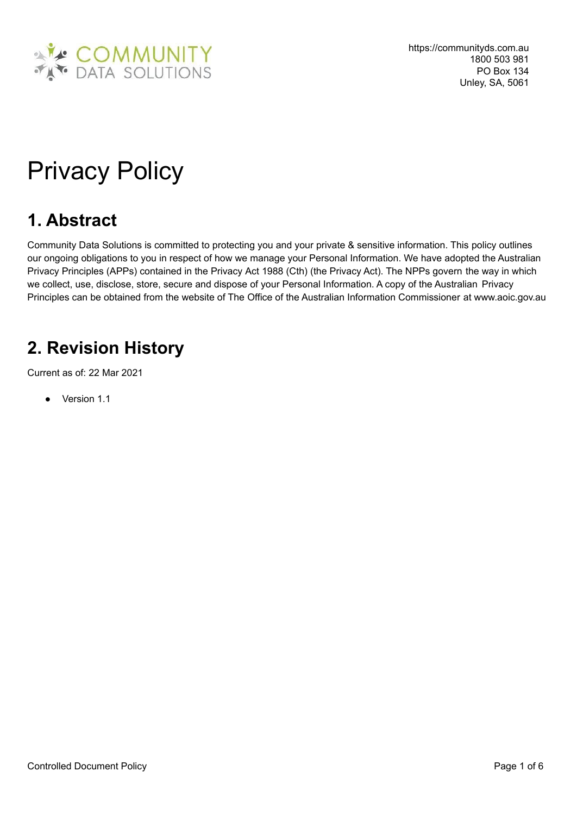

# Privacy Policy

## **1. Abstract**

Community Data Solutions is committed to protecting you and your private & sensitive information. This policy outlines our ongoing obligations to you in respect of how we manage your Personal Information. We have adopted the Australian Privacy Principles (APPs) contained in the Privacy Act 1988 (Cth) (the Privacy Act). The NPPs govern the way in which we collect, use, disclose, store, secure and dispose of your Personal Information. A copy of the Australian Privacy Principles can be obtained from the website of The Office of the Australian Information Commissioner at www.aoic.gov.au

## **2. Revision History**

Current as of: 22 Mar 2021

● Version 1.1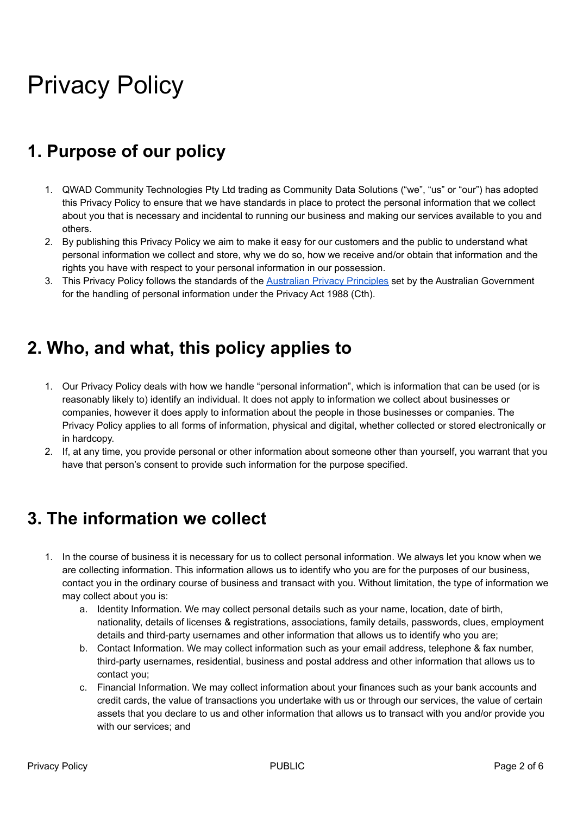# Privacy Policy

# **1. Purpose of our policy**

- 1. QWAD Community Technologies Pty Ltd trading as Community Data Solutions ("we", "us" or "our") has adopted this Privacy Policy to ensure that we have standards in place to protect the personal information that we collect about you that is necessary and incidental to running our business and making our services available to you and others.
- 2. By publishing this Privacy Policy we aim to make it easy for our customers and the public to understand what personal information we collect and store, why we do so, how we receive and/or obtain that information and the rights you have with respect to your personal information in our possession.
- 3. This Privacy Policy follows the standards of the [Australian](https://www.oaic.gov.au/privacy/australian-privacy-principles/) Privacy Principles set by the Australian Government for the handling of personal information under the Privacy Act 1988 (Cth).

#### **2. Who, and what, this policy applies to**

- 1. Our Privacy Policy deals with how we handle "personal information", which is information that can be used (or is reasonably likely to) identify an individual. It does not apply to information we collect about businesses or companies, however it does apply to information about the people in those businesses or companies. The Privacy Policy applies to all forms of information, physical and digital, whether collected or stored electronically or in hardcopy.
- 2. If, at any time, you provide personal or other information about someone other than yourself, you warrant that you have that person's consent to provide such information for the purpose specified.

#### **3. The information we collect**

- 1. In the course of business it is necessary for us to collect personal information. We always let you know when we are collecting information. This information allows us to identify who you are for the purposes of our business, contact you in the ordinary course of business and transact with you. Without limitation, the type of information we may collect about you is:
	- a. Identity Information. We may collect personal details such as your name, location, date of birth, nationality, details of licenses & registrations, associations, family details, passwords, clues, employment details and third-party usernames and other information that allows us to identify who you are;
	- b. Contact Information. We may collect information such as your email address, telephone & fax number, third-party usernames, residential, business and postal address and other information that allows us to contact you;
	- c. Financial Information. We may collect information about your finances such as your bank accounts and credit cards, the value of transactions you undertake with us or through our services, the value of certain assets that you declare to us and other information that allows us to transact with you and/or provide you with our services; and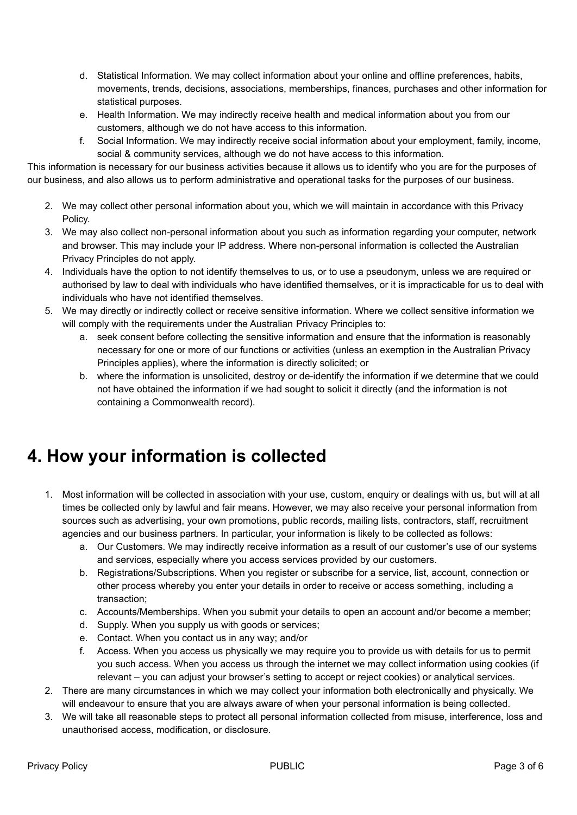- d. Statistical Information. We may collect information about your online and offline preferences, habits, movements, trends, decisions, associations, memberships, finances, purchases and other information for statistical purposes.
- e. Health Information. We may indirectly receive health and medical information about you from our customers, although we do not have access to this information.
- f. Social Information. We may indirectly receive social information about your employment, family, income, social & community services, although we do not have access to this information.

This information is necessary for our business activities because it allows us to identify who you are for the purposes of our business, and also allows us to perform administrative and operational tasks for the purposes of our business.

- 2. We may collect other personal information about you, which we will maintain in accordance with this Privacy Policy.
- 3. We may also collect non-personal information about you such as information regarding your computer, network and browser. This may include your IP address. Where non-personal information is collected the Australian Privacy Principles do not apply.
- 4. Individuals have the option to not identify themselves to us, or to use a pseudonym, unless we are required or authorised by law to deal with individuals who have identified themselves, or it is impracticable for us to deal with individuals who have not identified themselves.
- 5. We may directly or indirectly collect or receive sensitive information. Where we collect sensitive information we will comply with the requirements under the Australian Privacy Principles to:
	- a. seek consent before collecting the sensitive information and ensure that the information is reasonably necessary for one or more of our functions or activities (unless an exemption in the Australian Privacy Principles applies), where the information is directly solicited; or
	- b. where the information is unsolicited, destroy or de-identify the information if we determine that we could not have obtained the information if we had sought to solicit it directly (and the information is not containing a Commonwealth record).

## **4. How your information is collected**

- 1. Most information will be collected in association with your use, custom, enquiry or dealings with us, but will at all times be collected only by lawful and fair means. However, we may also receive your personal information from sources such as advertising, your own promotions, public records, mailing lists, contractors, staff, recruitment agencies and our business partners. In particular, your information is likely to be collected as follows:
	- a. Our Customers. We may indirectly receive information as a result of our customer's use of our systems and services, especially where you access services provided by our customers.
	- b. Registrations/Subscriptions. When you register or subscribe for a service, list, account, connection or other process whereby you enter your details in order to receive or access something, including a transaction;
	- c. Accounts/Memberships. When you submit your details to open an account and/or become a member;
	- d. Supply. When you supply us with goods or services;
	- e. Contact. When you contact us in any way; and/or
	- f. Access. When you access us physically we may require you to provide us with details for us to permit you such access. When you access us through the internet we may collect information using cookies (if relevant – you can adjust your browser's setting to accept or reject cookies) or analytical services.
- 2. There are many circumstances in which we may collect your information both electronically and physically. We will endeavour to ensure that you are always aware of when your personal information is being collected.
- 3. We will take all reasonable steps to protect all personal information collected from misuse, interference, loss and unauthorised access, modification, or disclosure.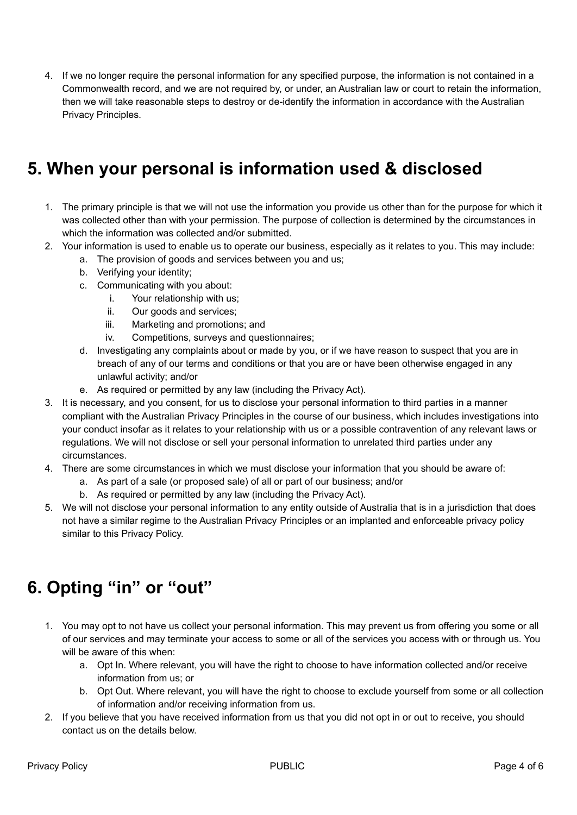4. If we no longer require the personal information for any specified purpose, the information is not contained in a Commonwealth record, and we are not required by, or under, an Australian law or court to retain the information, then we will take reasonable steps to destroy or de-identify the information in accordance with the Australian Privacy Principles.

#### **5. When your personal is information used & disclosed**

- 1. The primary principle is that we will not use the information you provide us other than for the purpose for which it was collected other than with your permission. The purpose of collection is determined by the circumstances in which the information was collected and/or submitted.
- 2. Your information is used to enable us to operate our business, especially as it relates to you. This may include:
	- a. The provision of goods and services between you and us;
	- b. Verifying your identity;
	- c. Communicating with you about:
		- i. Your relationship with us;
		- ii. Our goods and services;
		- iii. Marketing and promotions; and
		- iv. Competitions, surveys and questionnaires;
	- d. Investigating any complaints about or made by you, or if we have reason to suspect that you are in breach of any of our terms and conditions or that you are or have been otherwise engaged in any unlawful activity; and/or
	- e. As required or permitted by any law (including the Privacy Act).
- 3. It is necessary, and you consent, for us to disclose your personal information to third parties in a manner compliant with the Australian Privacy Principles in the course of our business, which includes investigations into your conduct insofar as it relates to your relationship with us or a possible contravention of any relevant laws or regulations. We will not disclose or sell your personal information to unrelated third parties under any circumstances.
- 4. There are some circumstances in which we must disclose your information that you should be aware of:
	- a. As part of a sale (or proposed sale) of all or part of our business; and/or
	- b. As required or permitted by any law (including the Privacy Act).
- 5. We will not disclose your personal information to any entity outside of Australia that is in a jurisdiction that does not have a similar regime to the Australian Privacy Principles or an implanted and enforceable privacy policy similar to this Privacy Policy.

## **6. Opting "in" or "out"**

- 1. You may opt to not have us collect your personal information. This may prevent us from offering you some or all of our services and may terminate your access to some or all of the services you access with or through us. You will be aware of this when:
	- a. Opt In. Where relevant, you will have the right to choose to have information collected and/or receive information from us; or
	- b. Opt Out. Where relevant, you will have the right to choose to exclude yourself from some or all collection of information and/or receiving information from us.
- 2. If you believe that you have received information from us that you did not opt in or out to receive, you should contact us on the details below.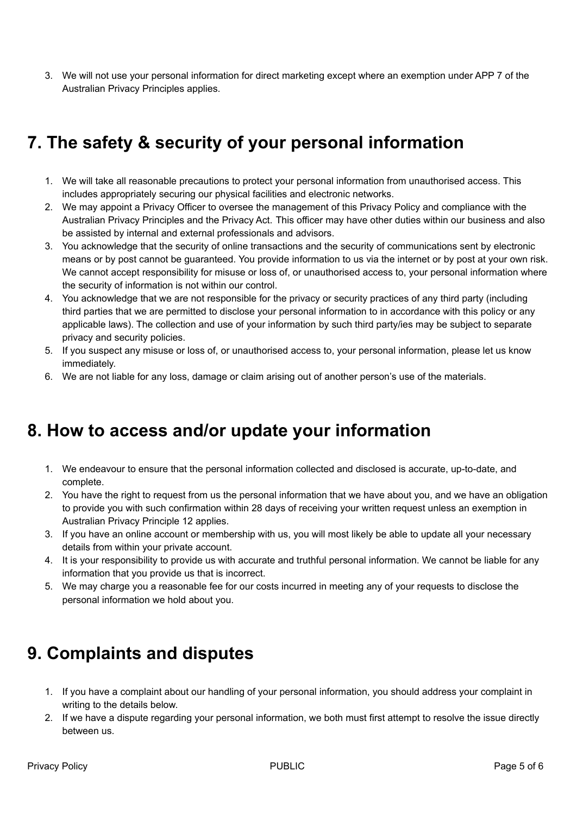3. We will not use your personal information for direct marketing except where an exemption under APP 7 of the Australian Privacy Principles applies.

## **7. The safety & security of your personal information**

- 1. We will take all reasonable precautions to protect your personal information from unauthorised access. This includes appropriately securing our physical facilities and electronic networks.
- 2. We may appoint a Privacy Officer to oversee the management of this Privacy Policy and compliance with the Australian Privacy Principles and the Privacy Act. This officer may have other duties within our business and also be assisted by internal and external professionals and advisors.
- 3. You acknowledge that the security of online transactions and the security of communications sent by electronic means or by post cannot be guaranteed. You provide information to us via the internet or by post at your own risk. We cannot accept responsibility for misuse or loss of, or unauthorised access to, your personal information where the security of information is not within our control.
- 4. You acknowledge that we are not responsible for the privacy or security practices of any third party (including third parties that we are permitted to disclose your personal information to in accordance with this policy or any applicable laws). The collection and use of your information by such third party/ies may be subject to separate privacy and security policies.
- 5. If you suspect any misuse or loss of, or unauthorised access to, your personal information, please let us know immediately.
- 6. We are not liable for any loss, damage or claim arising out of another person's use of the materials.

#### **8. How to access and/or update your information**

- 1. We endeavour to ensure that the personal information collected and disclosed is accurate, up-to-date, and complete.
- 2. You have the right to request from us the personal information that we have about you, and we have an obligation to provide you with such confirmation within 28 days of receiving your written request unless an exemption in Australian Privacy Principle 12 applies.
- 3. If you have an online account or membership with us, you will most likely be able to update all your necessary details from within your private account.
- 4. It is your responsibility to provide us with accurate and truthful personal information. We cannot be liable for any information that you provide us that is incorrect.
- 5. We may charge you a reasonable fee for our costs incurred in meeting any of your requests to disclose the personal information we hold about you.

#### **9. Complaints and disputes**

- 1. If you have a complaint about our handling of your personal information, you should address your complaint in writing to the details below.
- 2. If we have a dispute regarding your personal information, we both must first attempt to resolve the issue directly between us.